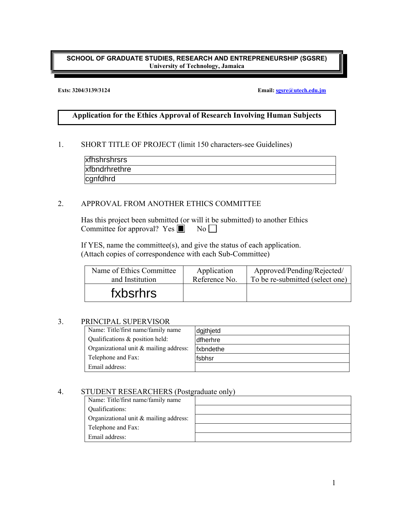#### **SCHOOL OF GRADUATE STUDIES, RESEARCH AND ENTREPRENEURSHIP (SGSRE) University of Technology, Jamaica**

#### **Exts: 3204/3139/3124 Email: sgsre@utech.edu.jm**

# **Application for the Ethics Approval of Research Involving Human Subjects**

#### 1. SHORT TITLE OF PROJECT (limit 150 characters-see Guidelines)

| xfhshrshrsrs  |  |
|---------------|--|
| xfbndrhrethre |  |
| cgnfdhrd      |  |

# 2. APPROVAL FROM ANOTHER ETHICS COMMITTEE

| xfhshrshrsrs                                                                                                                         |               |                                 |
|--------------------------------------------------------------------------------------------------------------------------------------|---------------|---------------------------------|
| xfbndrhrethre                                                                                                                        |               |                                 |
| cgnfdhrd                                                                                                                             |               |                                 |
|                                                                                                                                      |               |                                 |
| APPROVAL FROM ANOTHER ETHICS COMMITTEE                                                                                               |               |                                 |
| Has this project been submitted (or will it be submitted) to another Ethics<br>Committee for approval? Yes $\blacksquare$            | $\rm No$      |                                 |
| $fYES$ , name the committee(s), and give the status of each application.<br>Attach copies of correspondence with each Sub-Committee) |               |                                 |
| Name of Ethics Committee                                                                                                             | Application   | Approved/Pending/Rejected/      |
| and Institution                                                                                                                      | Reference No. | To be re-submitted (select one) |
| fxbsrhrs                                                                                                                             |               |                                 |
|                                                                                                                                      |               |                                 |
| PRINCIPAL SUPERVISOR                                                                                                                 |               |                                 |
| Name: Title/first name/family name                                                                                                   | dgjthjetd     |                                 |
| Qualifications & position held:                                                                                                      | dfherhre      |                                 |
| Organizational unit & mailing address:                                                                                               | fxbndethe     |                                 |
| Telephone and Fax:                                                                                                                   | fsbhsr        |                                 |

#### 3. PRINCIPAL SUPERVISOR

| Name: Title/first name/family name     | dgjthjetd                |
|----------------------------------------|--------------------------|
| Qualifications & position held:        | dfherhre                 |
| Organizational unit & mailing address: | <i><b>Ifxbndethe</b></i> |
| Telephone and Fax:                     | fsbhsr                   |
| Email address:                         |                          |

### 4. STUDENT RESEARCHERS (Postgraduate only)

| Name: Title/first name/family name     |  |
|----------------------------------------|--|
| Qualifications:                        |  |
| Organizational unit & mailing address: |  |
| Telephone and Fax:                     |  |
| Email address:                         |  |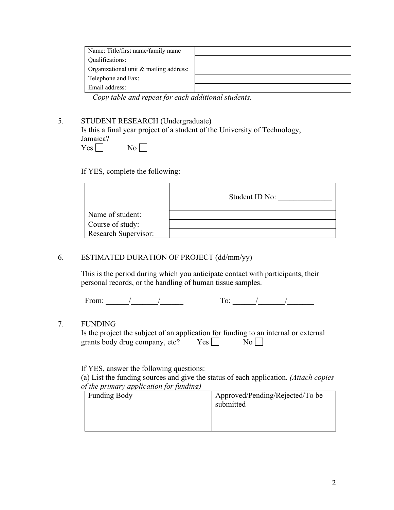| Name: Title/first name/family name     |  |
|----------------------------------------|--|
| Qualifications:                        |  |
| Organizational unit & mailing address: |  |
| Telephone and Fax:                     |  |
| Email address:                         |  |

*Copy table and repeat for each additional students.* 

# 5. STUDENT RESEARCH (Undergraduate)

 Is this a final year project of a student of the University of Technology, Jamaica?  $Yes \Box$  No  $\Box$ 

If YES, complete the following:

|                             | Student ID No: |
|-----------------------------|----------------|
| Name of student:            |                |
| Course of study:            |                |
| <b>Research Supervisor:</b> |                |

# 6. ESTIMATED DURATION OF PROJECT (dd/mm/yy)

 This is the period during which you anticipate contact with participants, their personal records, or the handling of human tissue samples.

From:  $\frac{1}{2}$   $\frac{1}{2}$   $\frac{1}{2}$   $\frac{1}{2}$   $\frac{1}{2}$   $\frac{1}{2}$   $\frac{1}{2}$   $\frac{1}{2}$   $\frac{1}{2}$   $\frac{1}{2}$   $\frac{1}{2}$   $\frac{1}{2}$   $\frac{1}{2}$   $\frac{1}{2}$   $\frac{1}{2}$   $\frac{1}{2}$   $\frac{1}{2}$   $\frac{1}{2}$   $\frac{1}{2}$   $\frac{1}{2}$   $\frac{1}{2}$   $\frac{1$ 

| -<br>$\overline{\phantom{a}}$ |  |
|-------------------------------|--|
|                               |  |

### 7. FUNDING

| Is the project the subject of an application for funding to an internal or external |            |                  |  |
|-------------------------------------------------------------------------------------|------------|------------------|--|
| grants body drug company, etc?                                                      | $Yes \Box$ | $\overline{N_0}$ |  |

If YES, answer the following questions:

 (a) List the funding sources and give the status of each application. *(Attach copies of the primary application for funding)* 

| Funding Body | Approved/Pending/Rejected/To be<br>submitted |
|--------------|----------------------------------------------|
|              |                                              |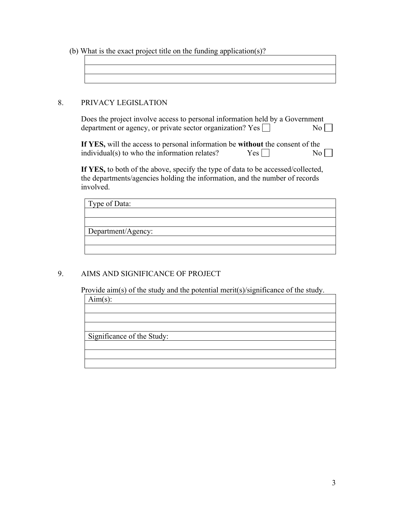(b) What is the exact project title on the funding application(s)?

| <u> 1989 - Johann Harry Harry Harry Harry Harry Harry Harry Harry Harry Harry Harry Harry Harry Harry Harry Harry H</u> |  |  |
|-------------------------------------------------------------------------------------------------------------------------|--|--|

# 8. PRIVACY LEGISLATION

 Does the project involve access to personal information held by a Government department or agency, or private sector organization? Yes  $\Box$  No  $\Box$ 

**If YES,** will the access to personal information be **without** the consent of the individual(s) to who the information relates?  $Yes \Box$  No  $\Box$ 

**If YES,** to both of the above, specify the type of data to be accessed/collected, the departments/agencies holding the information, and the number of records involved.

| Type of Data:      |  |  |
|--------------------|--|--|
|                    |  |  |
|                    |  |  |
| Department/Agency: |  |  |
|                    |  |  |
|                    |  |  |

# 9. AIMS AND SIGNIFICANCE OF PROJECT

Provide aim(s) of the study and the potential merit(s)/significance of the study.

| A1MI S |  |
|--------|--|
|        |  |

Significance of the Study: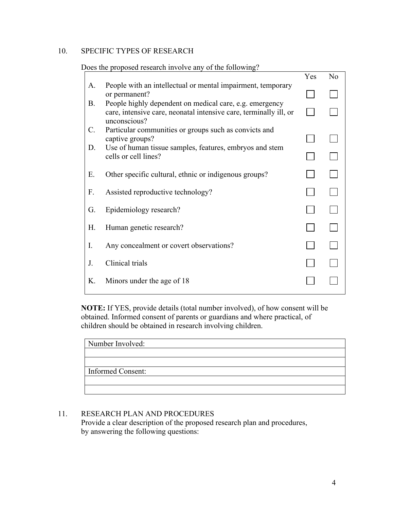# 10. SPECIFIC TYPES OF RESEARCH

|           |                                                                                                                                              | Yes | N <sub>o</sub> |
|-----------|----------------------------------------------------------------------------------------------------------------------------------------------|-----|----------------|
| A.        | People with an intellectual or mental impairment, temporary<br>or permanent?                                                                 |     |                |
| <b>B.</b> | People highly dependent on medical care, e.g. emergency<br>care, intensive care, neonatal intensive care, terminally ill, or<br>unconscious? |     |                |
| C.        | Particular communities or groups such as convicts and<br>captive groups?                                                                     |     |                |
| D.        | Use of human tissue samples, features, embryos and stem<br>cells or cell lines?                                                              |     |                |
| E.        | Other specific cultural, ethnic or indigenous groups?                                                                                        |     |                |
| F.        | Assisted reproductive technology?                                                                                                            |     |                |
| G.        | Epidemiology research?                                                                                                                       |     |                |
| Н.        | Human genetic research?                                                                                                                      |     |                |
| I.        | Any concealment or covert observations?                                                                                                      |     |                |
| J.        | Clinical trials                                                                                                                              |     |                |
| K.        | Minors under the age of 18                                                                                                                   |     |                |

Does the proposed research involve any of the following?

**NOTE:** If YES, provide details (total number involved), of how consent will be obtained. Informed consent of parents or guardians and where practical, of children should be obtained in research involving children.

| Number Involved:         |
|--------------------------|
|                          |
|                          |
|                          |
| <b>Informed Consent:</b> |
|                          |
|                          |

# 11. RESEARCH PLAN AND PROCEDURES

 Provide a clear description of the proposed research plan and procedures, by answering the following questions: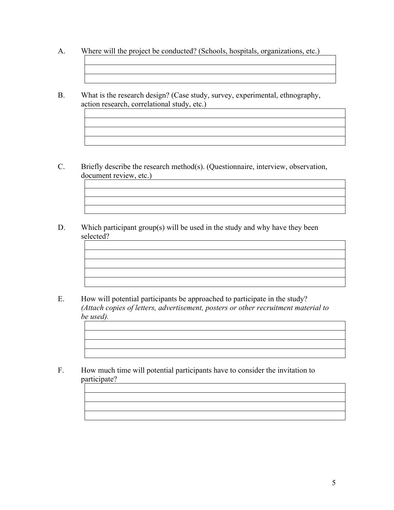A. Where will the project be conducted? (Schools, hospitals, organizations, etc.)

B. What is the research design? (Case study, survey, experimental, ethnography, action research, correlational study, etc.)

- C. Briefly describe the research method(s). (Questionnaire, interview, observation, document review, etc.)
- D. Which participant group(s) will be used in the study and why have they been selected?

- E. How will potential participants be approached to participate in the study? *(Attach copies of letters, advertisement, posters or other recruitment material to be used).*
- F. How much time will potential participants have to consider the invitation to participate?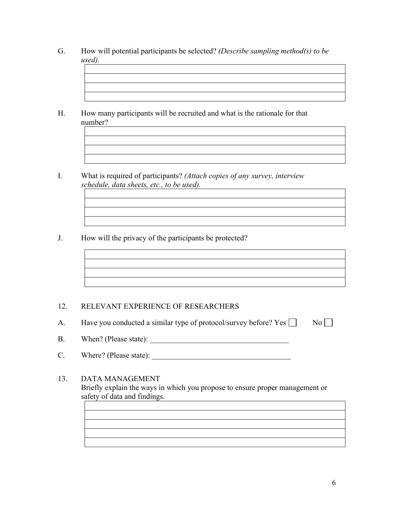- G. How will potential participants be selected? *(Describe sampling method(s) to be used).*
- H. How many participants will be recruited and what is the rationale for that number?
- I. What is required of participants? *(Attach copies of any survey, interview schedule, data sheets, etc., to be used).*
- J. How will the privacy of the participants be protected?

# 12. RELEVANT EXPERIENCE OF RESEARCHERS

A. Have you conducted a similar type of protocol/survey before? Yes  $\Box$  No  $\Box$ 

- B. When? (Please state): \_\_\_\_\_\_\_\_\_\_\_\_\_\_\_\_\_\_\_\_\_\_\_\_\_\_\_\_\_\_\_\_\_\_\_\_
- C. Where? (Please state): \_\_\_\_\_\_\_\_\_\_\_\_\_\_\_\_\_\_\_\_\_\_\_\_\_\_\_\_\_\_\_\_\_\_\_\_

# 13. DATA MANAGEMENT Briefly explain the ways in which you propose to ensure proper management or safety of data and findings.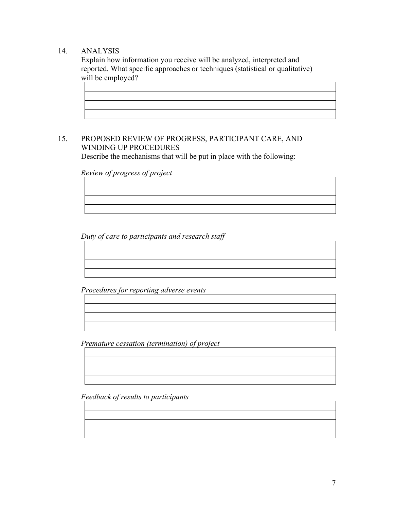# 14. ANALYSIS

 Explain how information you receive will be analyzed, interpreted and reported. What specific approaches or techniques (statistical or qualitative) will be employed?



## 15. PROPOSED REVIEW OF PROGRESS, PARTICIPANT CARE, AND WINDING UP PROCEDURES Describe the mechanisms that will be put in place with the following:

 *Review of progress of project* 

 *Duty of care to participants and research staff* 

 *Procedures for reporting adverse events*

 *Premature cessation (termination) of project* 

*Feedback of results to participants*